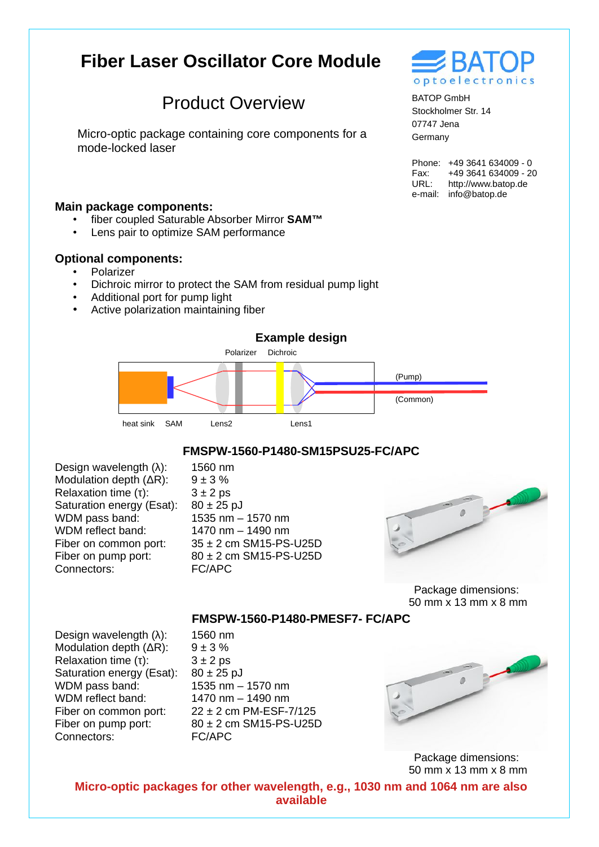# **Fiber Laser Oscillator Core Module**

## Product Overview

Micro-optic package containing core components for a mode-locked laser

#### **Main package components:**

- fiber coupled Saturable Absorber Mirror **SAM™**
- Lens pair to optimize SAM performance

#### **Optional components:**

- Polarizer
- Dichroic mirror to protect the SAM from residual pump light

1560 nm

- Additional port for pump light
- Active polarization maintaining fiber

### **Example design**



#### **FMSPW-1560-P1480-SM15PSU25-FC/APC**

Design wavelength (λ): Modulation depth (ΔR): Relaxation time (τ): Saturation energy (Esat): WDM pass band: WDM reflect band: Fiber on common port: Fiber on pump port: Connectors:

 $9 + 3 %$  $3 \pm 2$  ps  $80 \pm 25$  pJ 1535 nm – 1570 nm 1470 nm – 1490 nm 35 ± 2 cm SM15-PS-U25D 80 ± 2 cm SM15-PS-U25D FC/APC



Package dimensions: 50 mm x 13 mm x 8 mm

**FMSPW-1560-P1480-PMESF7- FC/APC**

Design wavelength (λ): Modulation depth (ΔR): Relaxation time (τ): Saturation energy (Esat): WDM pass band: WDM reflect band: Fiber on common port: Fiber on pump port: Connectors:

1560 nm  $9 + 3 %$  $3 \pm 2$  ps 80 ± 25 pJ 1535 nm – 1570 nm 1470 nm – 1490 nm 22 ± 2 cm PM-ESF-7/125 80 ± 2 cm SM15-PS-U25D FC/APC



Package dimensions: 50 mm x 13 mm x 8 mm

**Micro-optic packages for other wavelength, e.g., 1030 nm and 1064 nm are also available**



BATOP GmbH Stockholmer Str. 14 07747 Jena Germany

Phone: +49 3641 634009 - 0 Fax: URL: e-mail: info@batop.de +49 3641 634009 - 20 http://www.batop.de